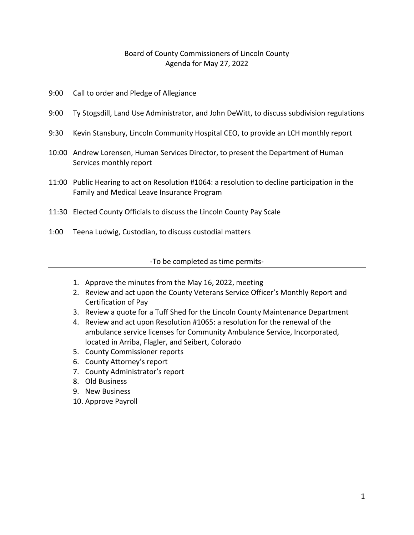## Board of County Commissioners of Lincoln County Agenda for May 27, 2022

- 9:00 Call to order and Pledge of Allegiance
- 9:00 Ty Stogsdill, Land Use Administrator, and John DeWitt, to discuss subdivision regulations
- 9:30 Kevin Stansbury, Lincoln Community Hospital CEO, to provide an LCH monthly report
- 10:00 Andrew Lorensen, Human Services Director, to present the Department of Human Services monthly report
- 11:00 Public Hearing to act on Resolution #1064: a resolution to decline participation in the Family and Medical Leave Insurance Program
- 11:30 Elected County Officials to discuss the Lincoln County Pay Scale
- 1:00 Teena Ludwig, Custodian, to discuss custodial matters

-To be completed as time permits-

- 1. Approve the minutes from the May 16, 2022, meeting
- 2. Review and act upon the County Veterans Service Officer's Monthly Report and Certification of Pay
- 3. Review a quote for a Tuff Shed for the Lincoln County Maintenance Department
- 4. Review and act upon Resolution #1065: a resolution for the renewal of the ambulance service licenses for Community Ambulance Service, Incorporated, located in Arriba, Flagler, and Seibert, Colorado
- 5. County Commissioner reports
- 6. County Attorney's report
- 7. County Administrator's report
- 8. Old Business
- 9. New Business
- 10. Approve Payroll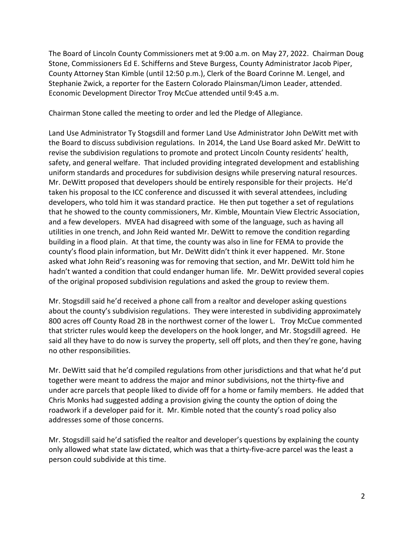The Board of Lincoln County Commissioners met at 9:00 a.m. on May 27, 2022. Chairman Doug Stone, Commissioners Ed E. Schifferns and Steve Burgess, County Administrator Jacob Piper, County Attorney Stan Kimble (until 12:50 p.m.), Clerk of the Board Corinne M. Lengel, and Stephanie Zwick, a reporter for the Eastern Colorado Plainsman/Limon Leader, attended. Economic Development Director Troy McCue attended until 9:45 a.m.

Chairman Stone called the meeting to order and led the Pledge of Allegiance.

Land Use Administrator Ty Stogsdill and former Land Use Administrator John DeWitt met with the Board to discuss subdivision regulations. In 2014, the Land Use Board asked Mr. DeWitt to revise the subdivision regulations to promote and protect Lincoln County residents' health, safety, and general welfare. That included providing integrated development and establishing uniform standards and procedures for subdivision designs while preserving natural resources. Mr. DeWitt proposed that developers should be entirely responsible for their projects. He'd taken his proposal to the ICC conference and discussed it with several attendees, including developers, who told him it was standard practice. He then put together a set of regulations that he showed to the county commissioners, Mr. Kimble, Mountain View Electric Association, and a few developers. MVEA had disagreed with some of the language, such as having all utilities in one trench, and John Reid wanted Mr. DeWitt to remove the condition regarding building in a flood plain. At that time, the county was also in line for FEMA to provide the county's flood plain information, but Mr. DeWitt didn't think it ever happened. Mr. Stone asked what John Reid's reasoning was for removing that section, and Mr. DeWitt told him he hadn't wanted a condition that could endanger human life. Mr. DeWitt provided several copies of the original proposed subdivision regulations and asked the group to review them.

Mr. Stogsdill said he'd received a phone call from a realtor and developer asking questions about the county's subdivision regulations. They were interested in subdividing approximately 800 acres off County Road 2B in the northwest corner of the lower L. Troy McCue commented that stricter rules would keep the developers on the hook longer, and Mr. Stogsdill agreed. He said all they have to do now is survey the property, sell off plots, and then they're gone, having no other responsibilities.

Mr. DeWitt said that he'd compiled regulations from other jurisdictions and that what he'd put together were meant to address the major and minor subdivisions, not the thirty-five and under acre parcels that people liked to divide off for a home or family members. He added that Chris Monks had suggested adding a provision giving the county the option of doing the roadwork if a developer paid for it. Mr. Kimble noted that the county's road policy also addresses some of those concerns.

Mr. Stogsdill said he'd satisfied the realtor and developer's questions by explaining the county only allowed what state law dictated, which was that a thirty-five-acre parcel was the least a person could subdivide at this time.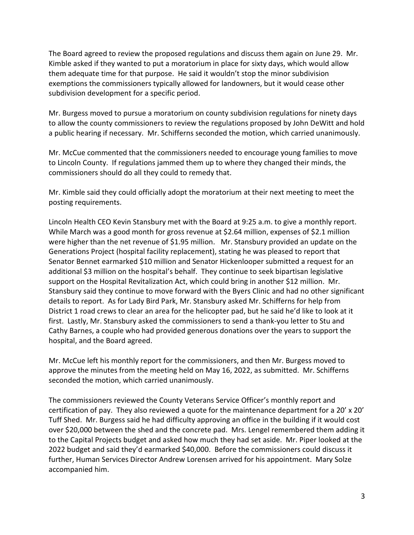The Board agreed to review the proposed regulations and discuss them again on June 29. Mr. Kimble asked if they wanted to put a moratorium in place for sixty days, which would allow them adequate time for that purpose. He said it wouldn't stop the minor subdivision exemptions the commissioners typically allowed for landowners, but it would cease other subdivision development for a specific period.

Mr. Burgess moved to pursue a moratorium on county subdivision regulations for ninety days to allow the county commissioners to review the regulations proposed by John DeWitt and hold a public hearing if necessary. Mr. Schifferns seconded the motion, which carried unanimously.

Mr. McCue commented that the commissioners needed to encourage young families to move to Lincoln County. If regulations jammed them up to where they changed their minds, the commissioners should do all they could to remedy that.

Mr. Kimble said they could officially adopt the moratorium at their next meeting to meet the posting requirements.

Lincoln Health CEO Kevin Stansbury met with the Board at 9:25 a.m. to give a monthly report. While March was a good month for gross revenue at \$2.64 million, expenses of \$2.1 million were higher than the net revenue of \$1.95 million. Mr. Stansbury provided an update on the Generations Project (hospital facility replacement), stating he was pleased to report that Senator Bennet earmarked \$10 million and Senator Hickenlooper submitted a request for an additional \$3 million on the hospital's behalf. They continue to seek bipartisan legislative support on the Hospital Revitalization Act, which could bring in another \$12 million. Mr. Stansbury said they continue to move forward with the Byers Clinic and had no other significant details to report. As for Lady Bird Park, Mr. Stansbury asked Mr. Schifferns for help from District 1 road crews to clear an area for the helicopter pad, but he said he'd like to look at it first. Lastly, Mr. Stansbury asked the commissioners to send a thank-you letter to Stu and Cathy Barnes, a couple who had provided generous donations over the years to support the hospital, and the Board agreed.

Mr. McCue left his monthly report for the commissioners, and then Mr. Burgess moved to approve the minutes from the meeting held on May 16, 2022, as submitted. Mr. Schifferns seconded the motion, which carried unanimously.

The commissioners reviewed the County Veterans Service Officer's monthly report and certification of pay. They also reviewed a quote for the maintenance department for a 20' x 20' Tuff Shed. Mr. Burgess said he had difficulty approving an office in the building if it would cost over \$20,000 between the shed and the concrete pad. Mrs. Lengel remembered them adding it to the Capital Projects budget and asked how much they had set aside. Mr. Piper looked at the 2022 budget and said they'd earmarked \$40,000. Before the commissioners could discuss it further, Human Services Director Andrew Lorensen arrived for his appointment. Mary Solze accompanied him.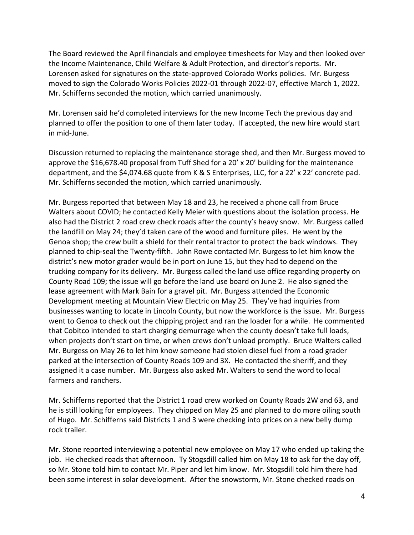The Board reviewed the April financials and employee timesheets for May and then looked over the Income Maintenance, Child Welfare & Adult Protection, and director's reports. Mr. Lorensen asked for signatures on the state-approved Colorado Works policies. Mr. Burgess moved to sign the Colorado Works Policies 2022-01 through 2022-07, effective March 1, 2022. Mr. Schifferns seconded the motion, which carried unanimously.

Mr. Lorensen said he'd completed interviews for the new Income Tech the previous day and planned to offer the position to one of them later today. If accepted, the new hire would start in mid-June.

Discussion returned to replacing the maintenance storage shed, and then Mr. Burgess moved to approve the \$16,678.40 proposal from Tuff Shed for a 20' x 20' building for the maintenance department, and the \$4,074.68 quote from K & S Enterprises, LLC, for a 22' x 22' concrete pad. Mr. Schifferns seconded the motion, which carried unanimously.

Mr. Burgess reported that between May 18 and 23, he received a phone call from Bruce Walters about COVID; he contacted Kelly Meier with questions about the isolation process. He also had the District 2 road crew check roads after the county's heavy snow. Mr. Burgess called the landfill on May 24; they'd taken care of the wood and furniture piles. He went by the Genoa shop; the crew built a shield for their rental tractor to protect the back windows. They planned to chip-seal the Twenty-fifth. John Rowe contacted Mr. Burgess to let him know the district's new motor grader would be in port on June 15, but they had to depend on the trucking company for its delivery. Mr. Burgess called the land use office regarding property on County Road 109; the issue will go before the land use board on June 2. He also signed the lease agreement with Mark Bain for a gravel pit. Mr. Burgess attended the Economic Development meeting at Mountain View Electric on May 25. They've had inquiries from businesses wanting to locate in Lincoln County, but now the workforce is the issue. Mr. Burgess went to Genoa to check out the chipping project and ran the loader for a while. He commented that Cobitco intended to start charging demurrage when the county doesn't take full loads, when projects don't start on time, or when crews don't unload promptly. Bruce Walters called Mr. Burgess on May 26 to let him know someone had stolen diesel fuel from a road grader parked at the intersection of County Roads 109 and 3X. He contacted the sheriff, and they assigned it a case number. Mr. Burgess also asked Mr. Walters to send the word to local farmers and ranchers.

Mr. Schifferns reported that the District 1 road crew worked on County Roads 2W and 63, and he is still looking for employees. They chipped on May 25 and planned to do more oiling south of Hugo. Mr. Schifferns said Districts 1 and 3 were checking into prices on a new belly dump rock trailer.

Mr. Stone reported interviewing a potential new employee on May 17 who ended up taking the job. He checked roads that afternoon. Ty Stogsdill called him on May 18 to ask for the day off, so Mr. Stone told him to contact Mr. Piper and let him know. Mr. Stogsdill told him there had been some interest in solar development. After the snowstorm, Mr. Stone checked roads on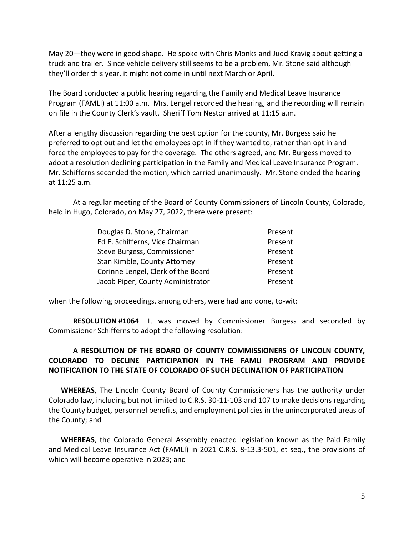May 20—they were in good shape. He spoke with Chris Monks and Judd Kravig about getting a truck and trailer. Since vehicle delivery still seems to be a problem, Mr. Stone said although they'll order this year, it might not come in until next March or April.

The Board conducted a public hearing regarding the Family and Medical Leave Insurance Program (FAMLI) at 11:00 a.m. Mrs. Lengel recorded the hearing, and the recording will remain on file in the County Clerk's vault. Sheriff Tom Nestor arrived at 11:15 a.m.

After a lengthy discussion regarding the best option for the county, Mr. Burgess said he preferred to opt out and let the employees opt in if they wanted to, rather than opt in and force the employees to pay for the coverage. The others agreed, and Mr. Burgess moved to adopt a resolution declining participation in the Family and Medical Leave Insurance Program. Mr. Schifferns seconded the motion, which carried unanimously. Mr. Stone ended the hearing at 11:25 a.m.

At a regular meeting of the Board of County Commissioners of Lincoln County, Colorado, held in Hugo, Colorado, on May 27, 2022, there were present:

| Douglas D. Stone, Chairman         | Present |
|------------------------------------|---------|
| Ed E. Schifferns, Vice Chairman    | Present |
| Steve Burgess, Commissioner        | Present |
| Stan Kimble, County Attorney       | Present |
| Corinne Lengel, Clerk of the Board | Present |
| Jacob Piper, County Administrator  | Present |

when the following proceedings, among others, were had and done, to-wit:

**RESOLUTION #1064** It was moved by Commissioner Burgess and seconded by Commissioner Schifferns to adopt the following resolution:

## **A RESOLUTION OF THE BOARD OF COUNTY COMMISSIONERS OF LINCOLN COUNTY, COLORADO TO DECLINE PARTICIPATION IN THE FAMLI PROGRAM AND PROVIDE NOTIFICATION TO THE STATE OF COLORADO OF SUCH DECLINATION OF PARTICIPATION**

**WHEREAS**, The Lincoln County Board of County Commissioners has the authority under Colorado law, including but not limited to C.R.S. 30-11-103 and 107 to make decisions regarding the County budget, personnel benefits, and employment policies in the unincorporated areas of the County; and

**WHEREAS**, the Colorado General Assembly enacted legislation known as the Paid Family and Medical Leave Insurance Act (FAMLI) in 2021 C.R.S. 8-13.3-501, et seq., the provisions of which will become operative in 2023; and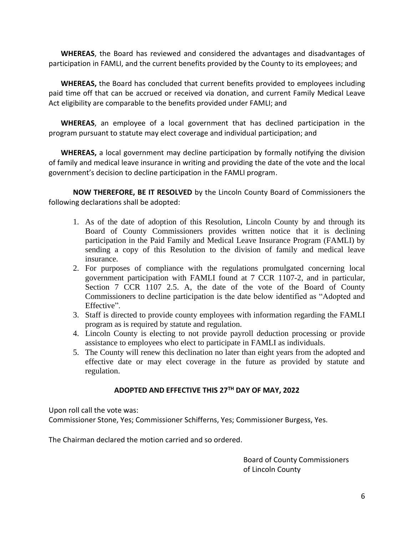**WHEREAS**, the Board has reviewed and considered the advantages and disadvantages of participation in FAMLI, and the current benefits provided by the County to its employees; and

**WHEREAS,** the Board has concluded that current benefits provided to employees including paid time off that can be accrued or received via donation, and current Family Medical Leave Act eligibility are comparable to the benefits provided under FAMLI; and

**WHEREAS**, an employee of a local government that has declined participation in the program pursuant to statute may elect coverage and individual participation; and

**WHEREAS,** a local government may decline participation by formally notifying the division of family and medical leave insurance in writing and providing the date of the vote and the local government's decision to decline participation in the FAMLI program.

**NOW THEREFORE, BE IT RESOLVED** by the Lincoln County Board of Commissioners the following declarations shall be adopted:

- 1. As of the date of adoption of this Resolution, Lincoln County by and through its Board of County Commissioners provides written notice that it is declining participation in the Paid Family and Medical Leave Insurance Program (FAMLI) by sending a copy of this Resolution to the division of family and medical leave insurance.
- 2. For purposes of compliance with the regulations promulgated concerning local government participation with FAMLI found at 7 CCR 1107-2, and in particular, Section 7 CCR 1107 2.5. A, the date of the vote of the Board of County Commissioners to decline participation is the date below identified as "Adopted and Effective".
- 3. Staff is directed to provide county employees with information regarding the FAMLI program as is required by statute and regulation.
- 4. Lincoln County is electing to not provide payroll deduction processing or provide assistance to employees who elect to participate in FAMLI as individuals.
- 5. The County will renew this declination no later than eight years from the adopted and effective date or may elect coverage in the future as provided by statute and regulation.

## **ADOPTED AND EFFECTIVE THIS 27TH DAY OF MAY, 2022**

Upon roll call the vote was:

Commissioner Stone, Yes; Commissioner Schifferns, Yes; Commissioner Burgess, Yes.

The Chairman declared the motion carried and so ordered.

Board of County Commissioners of Lincoln County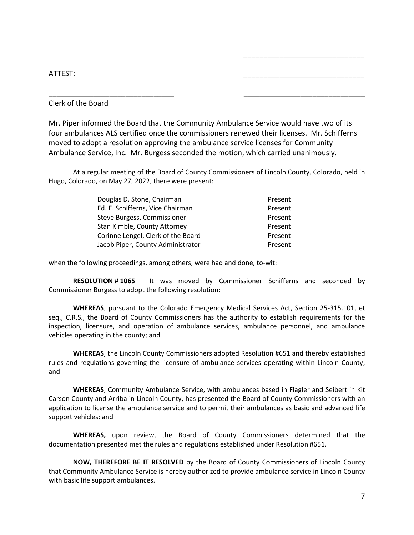## ATTEST: \_\_\_\_\_\_\_\_\_\_\_\_\_\_\_\_\_\_\_\_\_\_\_\_\_\_\_\_\_\_

Clerk of the Board

Mr. Piper informed the Board that the Community Ambulance Service would have two of its four ambulances ALS certified once the commissioners renewed their licenses. Mr. Schifferns moved to adopt a resolution approving the ambulance service licenses for Community Ambulance Service, Inc. Mr. Burgess seconded the motion, which carried unanimously.

\_\_\_\_\_\_\_\_\_\_\_\_\_\_\_\_\_\_\_\_\_\_\_\_\_\_\_\_\_\_\_ \_\_\_\_\_\_\_\_\_\_\_\_\_\_\_\_\_\_\_\_\_\_\_\_\_\_\_\_\_\_

\_\_\_\_\_\_\_\_\_\_\_\_\_\_\_\_\_\_\_\_\_\_\_\_\_\_\_\_\_\_

At a regular meeting of the Board of County Commissioners of Lincoln County, Colorado, held in Hugo, Colorado, on May 27, 2022, there were present:

| Douglas D. Stone, Chairman         | Present |
|------------------------------------|---------|
| Ed. E. Schifferns, Vice Chairman   | Present |
| Steve Burgess, Commissioner        | Present |
| Stan Kimble, County Attorney       | Present |
| Corinne Lengel, Clerk of the Board | Present |
| Jacob Piper, County Administrator  | Present |

when the following proceedings, among others, were had and done, to-wit:

**RESOLUTION # 1065** It was moved by Commissioner Schifferns and seconded by Commissioner Burgess to adopt the following resolution:

**WHEREAS**, pursuant to the Colorado Emergency Medical Services Act, Section 25-315.101, et seq., C.R.S., the Board of County Commissioners has the authority to establish requirements for the inspection, licensure, and operation of ambulance services, ambulance personnel, and ambulance vehicles operating in the county; and

**WHEREAS**, the Lincoln County Commissioners adopted Resolution #651 and thereby established rules and regulations governing the licensure of ambulance services operating within Lincoln County; and

**WHEREAS**, Community Ambulance Service, with ambulances based in Flagler and Seibert in Kit Carson County and Arriba in Lincoln County, has presented the Board of County Commissioners with an application to license the ambulance service and to permit their ambulances as basic and advanced life support vehicles; and

**WHEREAS,** upon review, the Board of County Commissioners determined that the documentation presented met the rules and regulations established under Resolution #651.

**NOW, THEREFORE BE IT RESOLVED** by the Board of County Commissioners of Lincoln County that Community Ambulance Service is hereby authorized to provide ambulance service in Lincoln County with basic life support ambulances.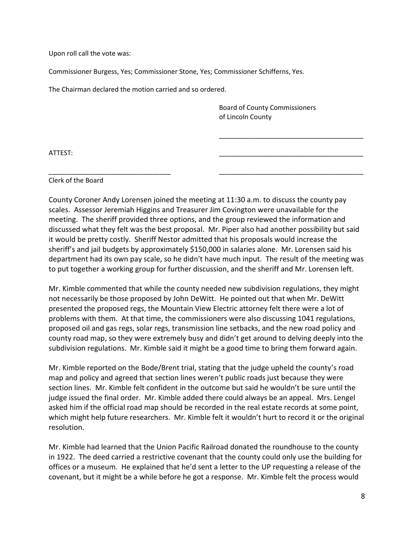Upon roll call the vote was:

Commissioner Burgess, Yes; Commissioner Stone, Yes; Commissioner Schifferns, Yes.

The Chairman declared the motion carried and so ordered.

Board of County Commissioners of Lincoln County

\_\_\_\_\_\_\_\_\_\_\_\_\_\_\_\_\_\_\_\_\_\_\_\_\_\_\_\_\_\_\_\_\_\_\_\_\_\_\_

ATTEST: \_\_\_\_\_\_\_\_\_\_\_\_\_\_\_\_\_\_\_\_\_\_\_\_\_\_\_\_\_\_\_\_\_\_\_\_\_\_\_

Clerk of the Board

County Coroner Andy Lorensen joined the meeting at 11:30 a.m. to discuss the county pay scales. Assessor Jeremiah Higgins and Treasurer Jim Covington were unavailable for the meeting. The sheriff provided three options, and the group reviewed the information and discussed what they felt was the best proposal. Mr. Piper also had another possibility but said it would be pretty costly. Sheriff Nestor admitted that his proposals would increase the sheriff's and jail budgets by approximately \$150,000 in salaries alone. Mr. Lorensen said his department had its own pay scale, so he didn't have much input. The result of the meeting was to put together a working group for further discussion, and the sheriff and Mr. Lorensen left.

\_\_\_\_\_\_\_\_\_\_\_\_\_\_\_\_\_\_\_\_\_\_\_\_\_\_\_\_\_\_\_\_\_ \_\_\_\_\_\_\_\_\_\_\_\_\_\_\_\_\_\_\_\_\_\_\_\_\_\_\_\_\_\_\_\_\_\_\_\_\_\_\_

Mr. Kimble commented that while the county needed new subdivision regulations, they might not necessarily be those proposed by John DeWitt. He pointed out that when Mr. DeWitt presented the proposed regs, the Mountain View Electric attorney felt there were a lot of problems with them. At that time, the commissioners were also discussing 1041 regulations, proposed oil and gas regs, solar regs, transmission line setbacks, and the new road policy and county road map, so they were extremely busy and didn't get around to delving deeply into the subdivision regulations. Mr. Kimble said it might be a good time to bring them forward again.

Mr. Kimble reported on the Bode/Brent trial, stating that the judge upheld the county's road map and policy and agreed that section lines weren't public roads just because they were section lines. Mr. Kimble felt confident in the outcome but said he wouldn't be sure until the judge issued the final order. Mr. Kimble added there could always be an appeal. Mrs. Lengel asked him if the official road map should be recorded in the real estate records at some point, which might help future researchers. Mr. Kimble felt it wouldn't hurt to record it or the original resolution.

Mr. Kimble had learned that the Union Pacific Railroad donated the roundhouse to the county in 1922. The deed carried a restrictive covenant that the county could only use the building for offices or a museum. He explained that he'd sent a letter to the UP requesting a release of the covenant, but it might be a while before he got a response. Mr. Kimble felt the process would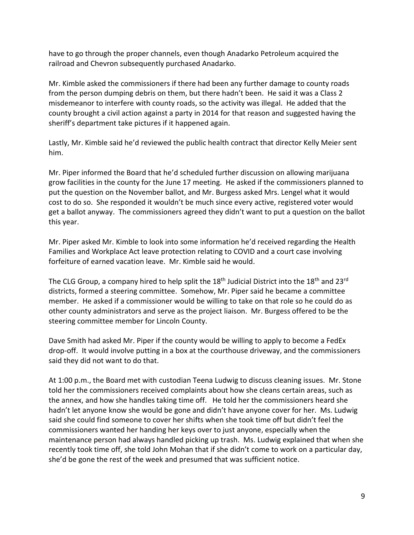have to go through the proper channels, even though Anadarko Petroleum acquired the railroad and Chevron subsequently purchased Anadarko.

Mr. Kimble asked the commissioners if there had been any further damage to county roads from the person dumping debris on them, but there hadn't been. He said it was a Class 2 misdemeanor to interfere with county roads, so the activity was illegal. He added that the county brought a civil action against a party in 2014 for that reason and suggested having the sheriff's department take pictures if it happened again.

Lastly, Mr. Kimble said he'd reviewed the public health contract that director Kelly Meier sent him.

Mr. Piper informed the Board that he'd scheduled further discussion on allowing marijuana grow facilities in the county for the June 17 meeting. He asked if the commissioners planned to put the question on the November ballot, and Mr. Burgess asked Mrs. Lengel what it would cost to do so. She responded it wouldn't be much since every active, registered voter would get a ballot anyway. The commissioners agreed they didn't want to put a question on the ballot this year.

Mr. Piper asked Mr. Kimble to look into some information he'd received regarding the Health Families and Workplace Act leave protection relating to COVID and a court case involving forfeiture of earned vacation leave. Mr. Kimble said he would.

The CLG Group, a company hired to help split the 18<sup>th</sup> Judicial District into the 18<sup>th</sup> and 23<sup>rd</sup> districts, formed a steering committee. Somehow, Mr. Piper said he became a committee member. He asked if a commissioner would be willing to take on that role so he could do as other county administrators and serve as the project liaison. Mr. Burgess offered to be the steering committee member for Lincoln County.

Dave Smith had asked Mr. Piper if the county would be willing to apply to become a FedEx drop-off. It would involve putting in a box at the courthouse driveway, and the commissioners said they did not want to do that.

At 1:00 p.m., the Board met with custodian Teena Ludwig to discuss cleaning issues. Mr. Stone told her the commissioners received complaints about how she cleans certain areas, such as the annex, and how she handles taking time off. He told her the commissioners heard she hadn't let anyone know she would be gone and didn't have anyone cover for her. Ms. Ludwig said she could find someone to cover her shifts when she took time off but didn't feel the commissioners wanted her handing her keys over to just anyone, especially when the maintenance person had always handled picking up trash. Ms. Ludwig explained that when she recently took time off, she told John Mohan that if she didn't come to work on a particular day, she'd be gone the rest of the week and presumed that was sufficient notice.